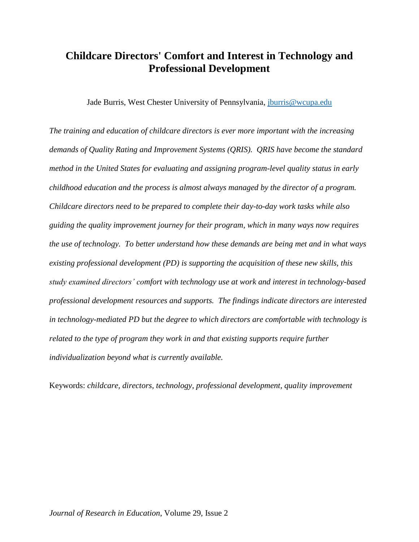# **Childcare Directors' Comfort and Interest in Technology and Professional Development**

Jade Burris, West Chester University of Pennsylvania, [jburris@wcupa.edu](mailto:jburris@wcupa.edu)

*The training and education of childcare directors is ever more important with the increasing demands of Quality Rating and Improvement Systems (QRIS). QRIS have become the standard method in the United States for evaluating and assigning program-level quality status in early childhood education and the process is almost always managed by the director of a program. Childcare directors need to be prepared to complete their day-to-day work tasks while also guiding the quality improvement journey for their program, which in many ways now requires the use of technology. To better understand how these demands are being met and in what ways existing professional development (PD) is supporting the acquisition of these new skills, this study examined directors' comfort with technology use at work and interest in technology-based professional development resources and supports. The findings indicate directors are interested in technology-mediated PD but the degree to which directors are comfortable with technology is related to the type of program they work in and that existing supports require further individualization beyond what is currently available.* 

Keywords: *childcare, directors, technology, professional development, quality improvement*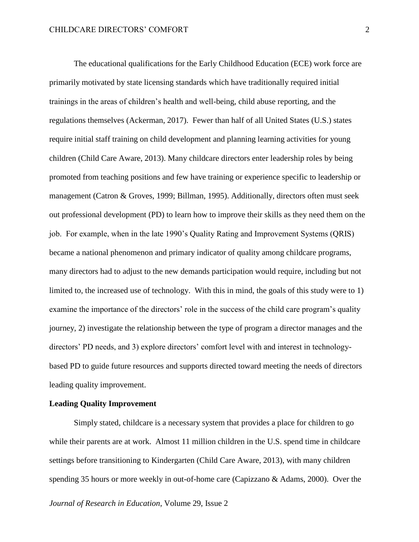The educational qualifications for the Early Childhood Education (ECE) work force are primarily motivated by state licensing standards which have traditionally required initial trainings in the areas of children's health and well-being, child abuse reporting, and the regulations themselves (Ackerman, 2017). Fewer than half of all United States (U.S.) states require initial staff training on child development and planning learning activities for young children (Child Care Aware, 2013). Many childcare directors enter leadership roles by being promoted from teaching positions and few have training or experience specific to leadership or management (Catron & Groves, 1999; Billman, 1995). Additionally, directors often must seek out professional development (PD) to learn how to improve their skills as they need them on the job. For example, when in the late 1990's Quality Rating and Improvement Systems (QRIS) became a national phenomenon and primary indicator of quality among childcare programs, many directors had to adjust to the new demands participation would require, including but not limited to, the increased use of technology. With this in mind, the goals of this study were to 1) examine the importance of the directors' role in the success of the child care program's quality journey, 2) investigate the relationship between the type of program a director manages and the directors' PD needs, and 3) explore directors' comfort level with and interest in technologybased PD to guide future resources and supports directed toward meeting the needs of directors leading quality improvement.

# **Leading Quality Improvement**

Simply stated, childcare is a necessary system that provides a place for children to go while their parents are at work. Almost 11 million children in the U.S. spend time in childcare settings before transitioning to Kindergarten (Child Care Aware, 2013), with many children spending 35 hours or more weekly in out-of-home care (Capizzano & Adams, 2000). Over the

*Journal of Research in Education*, Volume 29, Issue 2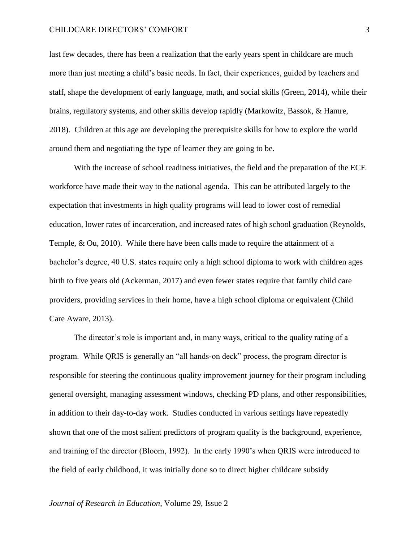#### CHILDCARE DIRECTORS' COMFORT

last few decades, there has been a realization that the early years spent in childcare are much more than just meeting a child's basic needs. In fact, their experiences, guided by teachers and staff, shape the development of early language, math, and social skills (Green, 2014), while their brains, regulatory systems, and other skills develop rapidly (Markowitz, Bassok, & Hamre, 2018). Children at this age are developing the prerequisite skills for how to explore the world around them and negotiating the type of learner they are going to be.

With the increase of school readiness initiatives, the field and the preparation of the ECE workforce have made their way to the national agenda. This can be attributed largely to the expectation that investments in high quality programs will lead to lower cost of remedial education, lower rates of incarceration, and increased rates of high school graduation (Reynolds, Temple, & Ou, 2010). While there have been calls made to require the attainment of a bachelor's degree, 40 U.S. states require only a high school diploma to work with children ages birth to five years old (Ackerman, 2017) and even fewer states require that family child care providers, providing services in their home, have a high school diploma or equivalent (Child Care Aware, 2013).

The director's role is important and, in many ways, critical to the quality rating of a program. While QRIS is generally an "all hands-on deck" process, the program director is responsible for steering the continuous quality improvement journey for their program including general oversight, managing assessment windows, checking PD plans, and other responsibilities, in addition to their day-to-day work. Studies conducted in various settings have repeatedly shown that one of the most salient predictors of program quality is the background, experience, and training of the director (Bloom, 1992). In the early 1990's when QRIS were introduced to the field of early childhood, it was initially done so to direct higher childcare subsidy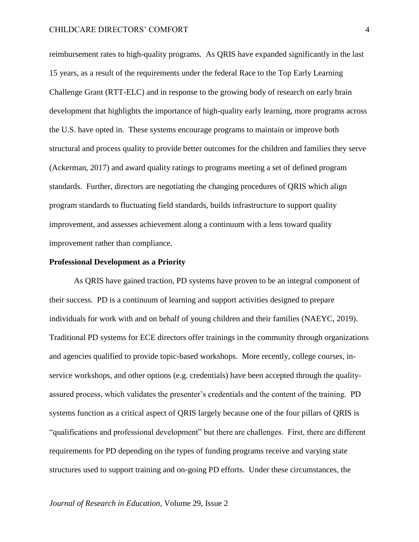reimbursement rates to high-quality programs. As QRIS have expanded significantly in the last 15 years, as a result of the requirements under the federal Race to the Top Early Learning Challenge Grant (RTT-ELC) and in response to the growing body of research on early brain development that highlights the importance of high-quality early learning, more programs across the U.S. have opted in. These systems encourage programs to maintain or improve both structural and process quality to provide better outcomes for the children and families they serve (Ackerman, 2017) and award quality ratings to programs meeting a set of defined program standards. Further, directors are negotiating the changing procedures of QRIS which align program standards to fluctuating field standards, builds infrastructure to support quality improvement, and assesses achievement along a continuum with a lens toward quality improvement rather than compliance.

#### **Professional Development as a Priority**

As QRIS have gained traction, PD systems have proven to be an integral component of their success. PD is a continuum of learning and support activities designed to prepare individuals for work with and on behalf of young children and their families (NAEYC, 2019). Traditional PD systems for ECE directors offer trainings in the community through organizations and agencies qualified to provide topic-based workshops. More recently, college courses, inservice workshops, and other options (e.g. credentials) have been accepted through the qualityassured process, which validates the presenter's credentials and the content of the training. PD systems function as a critical aspect of QRIS largely because one of the four pillars of QRIS is "qualifications and professional development" but there are challenges. First, there are different requirements for PD depending on the types of funding programs receive and varying state structures used to support training and on-going PD efforts. Under these circumstances, the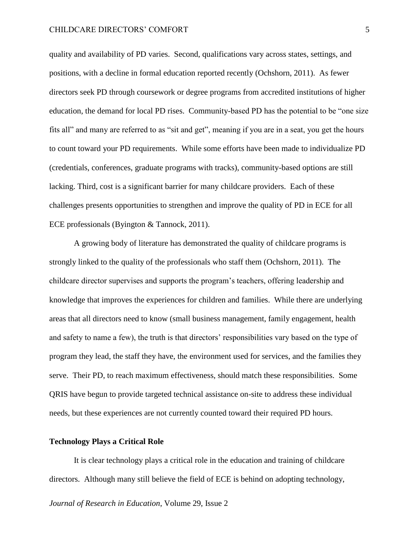quality and availability of PD varies. Second, qualifications vary across states, settings, and positions, with a decline in formal education reported recently (Ochshorn, 2011). As fewer directors seek PD through coursework or degree programs from accredited institutions of higher education, the demand for local PD rises. Community-based PD has the potential to be "one size fits all" and many are referred to as "sit and get", meaning if you are in a seat, you get the hours to count toward your PD requirements. While some efforts have been made to individualize PD (credentials, conferences, graduate programs with tracks), community-based options are still lacking. Third, cost is a significant barrier for many childcare providers. Each of these challenges presents opportunities to strengthen and improve the quality of PD in ECE for all ECE professionals (Byington & Tannock, 2011).

A growing body of literature has demonstrated the quality of childcare programs is strongly linked to the quality of the professionals who staff them (Ochshorn, 2011). The childcare director supervises and supports the program's teachers, offering leadership and knowledge that improves the experiences for children and families. While there are underlying areas that all directors need to know (small business management, family engagement, health and safety to name a few), the truth is that directors' responsibilities vary based on the type of program they lead, the staff they have, the environment used for services, and the families they serve. Their PD, to reach maximum effectiveness, should match these responsibilities. Some QRIS have begun to provide targeted technical assistance on-site to address these individual needs, but these experiences are not currently counted toward their required PD hours.

#### **Technology Plays a Critical Role**

It is clear technology plays a critical role in the education and training of childcare directors. Although many still believe the field of ECE is behind on adopting technology,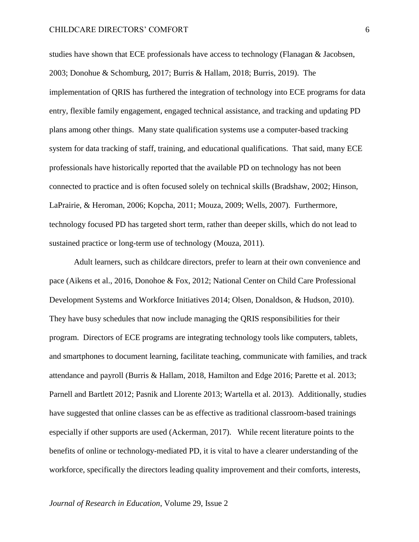studies have shown that ECE professionals have access to technology (Flanagan & Jacobsen, 2003; Donohue & Schomburg, 2017; Burris & Hallam, 2018; Burris, 2019). The implementation of QRIS has furthered the integration of technology into ECE programs for data entry, flexible family engagement, engaged technical assistance, and tracking and updating PD plans among other things. Many state qualification systems use a computer-based tracking system for data tracking of staff, training, and educational qualifications. That said, many ECE professionals have historically reported that the available PD on technology has not been connected to practice and is often focused solely on technical skills (Bradshaw, 2002; Hinson, LaPrairie, & Heroman, 2006; Kopcha, 2011; Mouza, 2009; Wells, 2007). Furthermore, technology focused PD has targeted short term, rather than deeper skills, which do not lead to sustained practice or long-term use of technology (Mouza, 2011).

Adult learners, such as childcare directors, prefer to learn at their own convenience and pace (Aikens et al., 2016, Donohoe & Fox, 2012; National Center on Child Care Professional Development Systems and Workforce Initiatives 2014; Olsen, Donaldson, & Hudson, 2010). They have busy schedules that now include managing the QRIS responsibilities for their program. Directors of ECE programs are integrating technology tools like computers, tablets, and smartphones to document learning, facilitate teaching, communicate with families, and track attendance and payroll (Burris & Hallam, 2018, Hamilton and Edge 2016; Parette et al. 2013; Parnell and Bartlett 2012; Pasnik and Llorente 2013; Wartella et al. 2013). Additionally, studies have suggested that online classes can be as effective as traditional classroom-based trainings especially if other supports are used (Ackerman, 2017). While recent literature points to the benefits of online or technology-mediated PD, it is vital to have a clearer understanding of the workforce, specifically the directors leading quality improvement and their comforts, interests,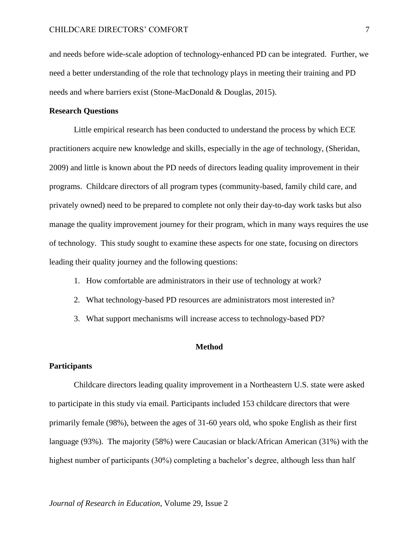and needs before wide-scale adoption of technology-enhanced PD can be integrated. Further, we need a better understanding of the role that technology plays in meeting their training and PD needs and where barriers exist (Stone-MacDonald & Douglas, 2015).

## **Research Questions**

Little empirical research has been conducted to understand the process by which ECE practitioners acquire new knowledge and skills, especially in the age of technology, (Sheridan, 2009) and little is known about the PD needs of directors leading quality improvement in their programs. Childcare directors of all program types (community-based, family child care, and privately owned) need to be prepared to complete not only their day-to-day work tasks but also manage the quality improvement journey for their program, which in many ways requires the use of technology. This study sought to examine these aspects for one state, focusing on directors leading their quality journey and the following questions:

- 1. How comfortable are administrators in their use of technology at work?
- 2. What technology-based PD resources are administrators most interested in?
- 3. What support mechanisms will increase access to technology-based PD?

#### **Method**

## **Participants**

Childcare directors leading quality improvement in a Northeastern U.S. state were asked to participate in this study via email. Participants included 153 childcare directors that were primarily female (98%), between the ages of 31-60 years old, who spoke English as their first language (93%). The majority (58%) were Caucasian or black/African American (31%) with the highest number of participants (30%) completing a bachelor's degree, although less than half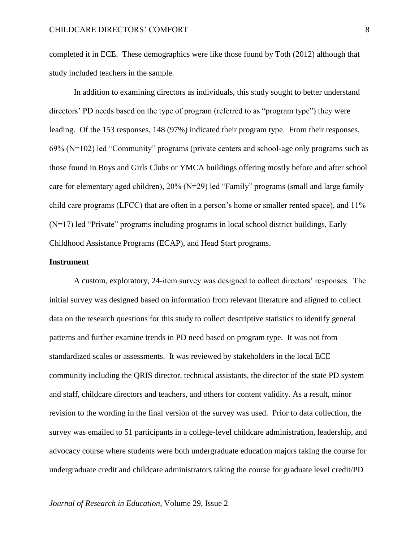completed it in ECE. These demographics were like those found by Toth (2012) although that study included teachers in the sample.

In addition to examining directors as individuals, this study sought to better understand directors' PD needs based on the type of program (referred to as "program type") they were leading. Of the 153 responses, 148 (97%) indicated their program type. From their responses, 69% (N=102) led "Community" programs (private centers and school-age only programs such as those found in Boys and Girls Clubs or YMCA buildings offering mostly before and after school care for elementary aged children), 20% (N=29) led "Family" programs (small and large family child care programs (LFCC) that are often in a person's home or smaller rented space), and 11% (N=17) led "Private" programs including programs in local school district buildings, Early Childhood Assistance Programs (ECAP), and Head Start programs.

### **Instrument**

A custom, exploratory, 24-item survey was designed to collect directors' responses. The initial survey was designed based on information from relevant literature and aligned to collect data on the research questions for this study to collect descriptive statistics to identify general patterns and further examine trends in PD need based on program type. It was not from standardized scales or assessments. It was reviewed by stakeholders in the local ECE community including the QRIS director, technical assistants, the director of the state PD system and staff, childcare directors and teachers, and others for content validity. As a result, minor revision to the wording in the final version of the survey was used. Prior to data collection, the survey was emailed to 51 participants in a college-level childcare administration, leadership, and advocacy course where students were both undergraduate education majors taking the course for undergraduate credit and childcare administrators taking the course for graduate level credit/PD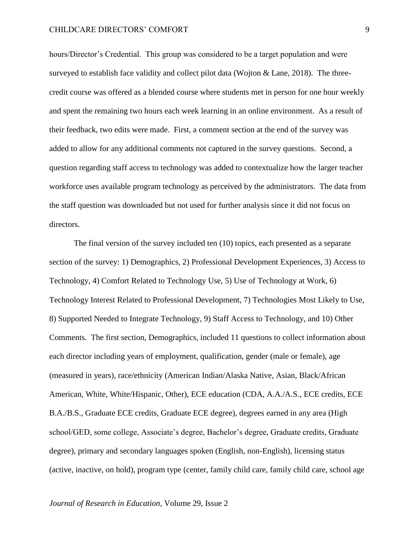#### CHILDCARE DIRECTORS' COMFORT

hours/Director's Credential. This group was considered to be a target population and were surveyed to establish face validity and collect pilot data (Wojton & Lane, 2018). The threecredit course was offered as a blended course where students met in person for one hour weekly and spent the remaining two hours each week learning in an online environment. As a result of their feedback, two edits were made. First, a comment section at the end of the survey was added to allow for any additional comments not captured in the survey questions. Second, a question regarding staff access to technology was added to contextualize how the larger teacher workforce uses available program technology as perceived by the administrators. The data from the staff question was downloaded but not used for further analysis since it did not focus on directors.

The final version of the survey included ten (10) topics, each presented as a separate section of the survey: 1) Demographics, 2) Professional Development Experiences, 3) Access to Technology, 4) Comfort Related to Technology Use, 5) Use of Technology at Work, 6) Technology Interest Related to Professional Development, 7) Technologies Most Likely to Use, 8) Supported Needed to Integrate Technology, 9) Staff Access to Technology, and 10) Other Comments. The first section, Demographics, included 11 questions to collect information about each director including years of employment, qualification, gender (male or female), age (measured in years), race/ethnicity (American Indian/Alaska Native, Asian, Black/African American, White, White/Hispanic, Other), ECE education (CDA, A.A./A.S., ECE credits, ECE B.A./B.S., Graduate ECE credits, Graduate ECE degree), degrees earned in any area (High school/GED, some college, Associate's degree, Bachelor's degree, Graduate credits, Graduate degree), primary and secondary languages spoken (English, non-English), licensing status (active, inactive, on hold), program type (center, family child care, family child care, school age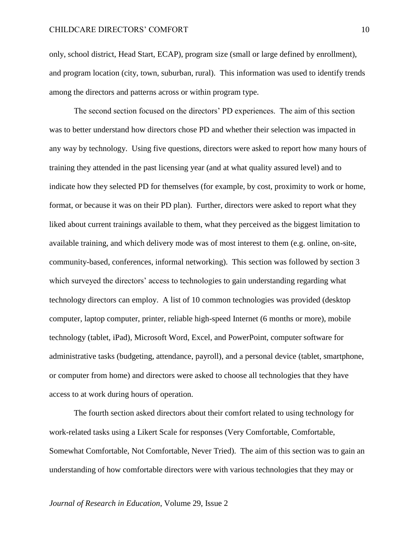only, school district, Head Start, ECAP), program size (small or large defined by enrollment), and program location (city, town, suburban, rural). This information was used to identify trends among the directors and patterns across or within program type.

The second section focused on the directors' PD experiences. The aim of this section was to better understand how directors chose PD and whether their selection was impacted in any way by technology. Using five questions, directors were asked to report how many hours of training they attended in the past licensing year (and at what quality assured level) and to indicate how they selected PD for themselves (for example, by cost, proximity to work or home, format, or because it was on their PD plan). Further, directors were asked to report what they liked about current trainings available to them, what they perceived as the biggest limitation to available training, and which delivery mode was of most interest to them (e.g. online, on-site, community-based, conferences, informal networking). This section was followed by section 3 which surveyed the directors' access to technologies to gain understanding regarding what technology directors can employ. A list of 10 common technologies was provided (desktop computer, laptop computer, printer, reliable high-speed Internet (6 months or more), mobile technology (tablet, iPad), Microsoft Word, Excel, and PowerPoint, computer software for administrative tasks (budgeting, attendance, payroll), and a personal device (tablet, smartphone, or computer from home) and directors were asked to choose all technologies that they have access to at work during hours of operation.

The fourth section asked directors about their comfort related to using technology for work-related tasks using a Likert Scale for responses (Very Comfortable, Comfortable, Somewhat Comfortable, Not Comfortable, Never Tried). The aim of this section was to gain an understanding of how comfortable directors were with various technologies that they may or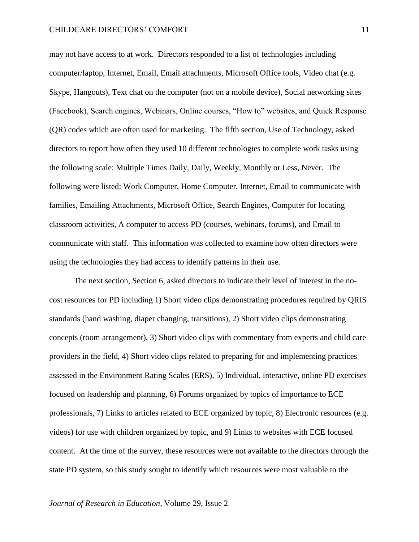may not have access to at work. Directors responded to a list of technologies including computer/laptop, Internet, Email, Email attachments, Microsoft Office tools, Video chat (e.g. Skype, Hangouts), Text chat on the computer (not on a mobile device), Social networking sites (Facebook), Search engines, Webinars, Online courses, "How to" websites, and Quick Response (QR) codes which are often used for marketing. The fifth section, Use of Technology, asked directors to report how often they used 10 different technologies to complete work tasks using the following scale: Multiple Times Daily, Daily, Weekly, Monthly or Less, Never. The following were listed: Work Computer, Home Computer, Internet, Email to communicate with families, Emailing Attachments, Microsoft Office, Search Engines, Computer for locating classroom activities, A computer to access PD (courses, webinars, forums), and Email to communicate with staff. This information was collected to examine how often directors were using the technologies they had access to identify patterns in their use.

The next section, Section 6, asked directors to indicate their level of interest in the nocost resources for PD including 1) Short video clips demonstrating procedures required by QRIS standards (hand washing, diaper changing, transitions), 2) Short video clips demonstrating concepts (room arrangement), 3) Short video clips with commentary from experts and child care providers in the field, 4) Short video clips related to preparing for and implementing practices assessed in the Environment Rating Scales (ERS), 5) Individual, interactive, online PD exercises focused on leadership and planning, 6) Forums organized by topics of importance to ECE professionals, 7) Links to articles related to ECE organized by topic, 8) Electronic resources (e.g. videos) for use with children organized by topic, and 9) Links to websites with ECE focused content. At the time of the survey, these resources were not available to the directors through the state PD system, so this study sought to identify which resources were most valuable to the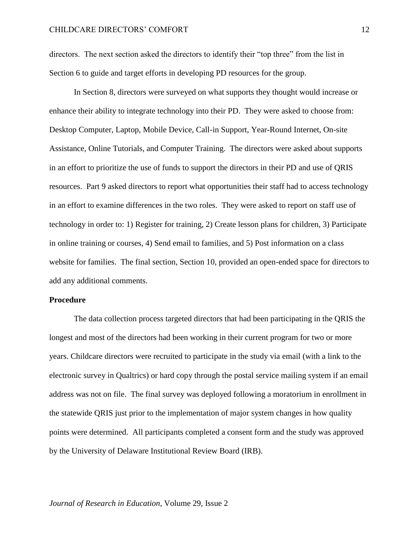directors. The next section asked the directors to identify their "top three" from the list in Section 6 to guide and target efforts in developing PD resources for the group.

In Section 8, directors were surveyed on what supports they thought would increase or enhance their ability to integrate technology into their PD. They were asked to choose from: Desktop Computer, Laptop, Mobile Device, Call-in Support, Year-Round Internet, On-site Assistance, Online Tutorials, and Computer Training. The directors were asked about supports in an effort to prioritize the use of funds to support the directors in their PD and use of QRIS resources. Part 9 asked directors to report what opportunities their staff had to access technology in an effort to examine differences in the two roles. They were asked to report on staff use of technology in order to: 1) Register for training, 2) Create lesson plans for children, 3) Participate in online training or courses, 4) Send email to families, and 5) Post information on a class website for families. The final section, Section 10, provided an open-ended space for directors to add any additional comments.

#### **Procedure**

The data collection process targeted directors that had been participating in the QRIS the longest and most of the directors had been working in their current program for two or more years. Childcare directors were recruited to participate in the study via email (with a link to the electronic survey in Qualtrics) or hard copy through the postal service mailing system if an email address was not on file. The final survey was deployed following a moratorium in enrollment in the statewide QRIS just prior to the implementation of major system changes in how quality points were determined. All participants completed a consent form and the study was approved by the University of Delaware Institutional Review Board (IRB).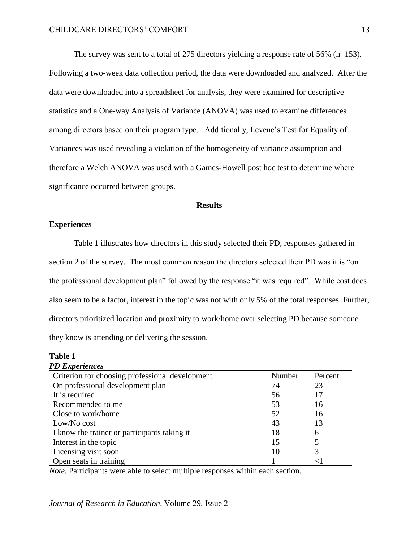The survey was sent to a total of 275 directors yielding a response rate of 56% (n=153). Following a two-week data collection period, the data were downloaded and analyzed. After the data were downloaded into a spreadsheet for analysis, they were examined for descriptive statistics and a One-way Analysis of Variance (ANOVA) was used to examine differences among directors based on their program type. Additionally, Levene's Test for Equality of Variances was used revealing a violation of the homogeneity of variance assumption and therefore a Welch ANOVA was used with a Games-Howell post hoc test to determine where significance occurred between groups.

## **Results**

#### **Experiences**

Table 1 illustrates how directors in this study selected their PD, responses gathered in section 2 of the survey. The most common reason the directors selected their PD was it is "on the professional development plan" followed by the response "it was required". While cost does also seem to be a factor, interest in the topic was not with only 5% of the total responses. Further, directors prioritized location and proximity to work/home over selecting PD because someone they know is attending or delivering the session.

#### **Table 1**  *PD Experiences*

| 1 <i>D Lind</i> Vi Ivitvo                       |        |         |
|-------------------------------------------------|--------|---------|
| Criterion for choosing professional development | Number | Percent |
| On professional development plan                | 74     | 23      |
| It is required                                  | 56     | 17      |
| Recommended to me                               | 53     | 16      |
| Close to work/home                              | 52     | 16      |
| Low/No cost                                     | 43     | 13      |
| I know the trainer or participants taking it    | 18     | 6       |
| Interest in the topic                           | 15     | 5       |
| Licensing visit soon                            | 10     | 3       |
| Open seats in training                          |        |         |

*Note.* Participants were able to select multiple responses within each section.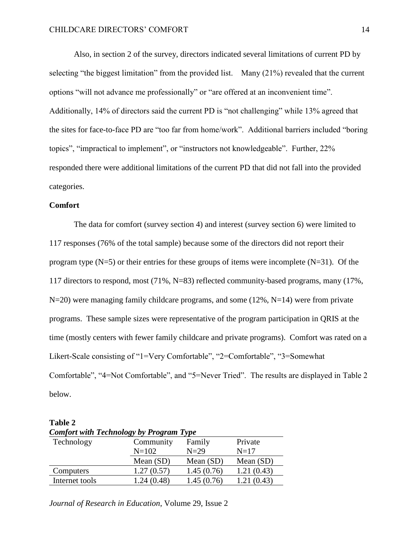Also, in section 2 of the survey, directors indicated several limitations of current PD by selecting "the biggest limitation" from the provided list. Many (21%) revealed that the current options "will not advance me professionally" or "are offered at an inconvenient time". Additionally, 14% of directors said the current PD is "not challenging" while 13% agreed that the sites for face-to-face PD are "too far from home/work". Additional barriers included "boring topics", "impractical to implement", or "instructors not knowledgeable". Further, 22% responded there were additional limitations of the current PD that did not fall into the provided categories.

#### **Comfort**

The data for comfort (survey section 4) and interest (survey section 6) were limited to 117 responses (76% of the total sample) because some of the directors did not report their program type  $(N=5)$  or their entries for these groups of items were incomplete  $(N=31)$ . Of the 117 directors to respond, most (71%, N=83) reflected community-based programs, many (17%,  $N=20$ ) were managing family childcare programs, and some (12%,  $N=14$ ) were from private programs. These sample sizes were representative of the program participation in QRIS at the time (mostly centers with fewer family childcare and private programs). Comfort was rated on a Likert-Scale consisting of "1=Very Comfortable", "2=Comfortable", "3=Somewhat Comfortable", "4=Not Comfortable", and "5=Never Tried". The results are displayed in Table 2 below.

| <b>Comfort with Technology by Program Type</b> |            |             |             |
|------------------------------------------------|------------|-------------|-------------|
| Technology                                     | Community  | Family      | Private     |
|                                                | $N = 102$  | $N=29$      | $N=17$      |
|                                                | Mean (SD)  | Mean $(SD)$ | Mean $(SD)$ |
| Computers                                      | 1.27(0.57) | 1.45(0.76)  | 1.21(0.43)  |
| Internet tools                                 | 1.24(0.48) | 1.45(0.76)  | 1.21(0.43)  |

**Table 2** 

*Journal of Research in Education*, Volume 29, Issue 2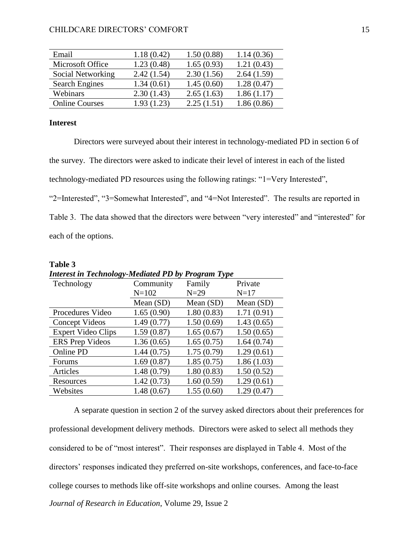| Email                 | 1.18(0.42)     | 1.50(0.88) | 1.14(0.36) |
|-----------------------|----------------|------------|------------|
| Microsoft Office      | 1.23(0.48)     | 1.65(0.93) | 1.21(0.43) |
| Social Networking     | 2.42(1.54)     | 2.30(1.56) | 2.64(1.59) |
| <b>Search Engines</b> | 1.34(0.61)     | 1.45(0.60) | 1.28(0.47) |
| Webinars              | 2.30(1.43)     | 2.65(1.63) | 1.86(1.17) |
| <b>Online Courses</b> | (1.23)<br>1.93 | 2.25(1.51) | 1.86(0.86) |

# **Interest**

Directors were surveyed about their interest in technology-mediated PD in section 6 of the survey. The directors were asked to indicate their level of interest in each of the listed technology-mediated PD resources using the following ratings: "1=Very Interested", "2=Interested", "3=Somewhat Interested", and "4=Not Interested". The results are reported in Table 3. The data showed that the directors were between "very interested" and "interested" for each of the options.

| Table 3                                                   |            |             |             |  |
|-----------------------------------------------------------|------------|-------------|-------------|--|
| <b>Interest in Technology-Mediated PD by Program Type</b> |            |             |             |  |
| Technology                                                | Community  | Family      | Private     |  |
|                                                           | $N = 102$  | $N=29$      | $N=17$      |  |
|                                                           | Mean (SD)  | Mean $(SD)$ | Mean $(SD)$ |  |
| Procedures Video                                          | 1.65(0.90) | 1.80(0.83)  | 1.71(0.91)  |  |
| Concept Videos                                            | 1.49(0.77) | 1.50(0.69)  | 1.43(0.65)  |  |
| <b>Expert Video Clips</b>                                 | 1.59(0.87) | 1.65(0.67)  | 1.50(0.65)  |  |
| <b>ERS</b> Prep Videos                                    | 1.36(0.65) | 1.65(0.75)  | 1.64(0.74)  |  |
| Online PD                                                 | 1.44(0.75) | 1.75(0.79)  | 1.29(0.61)  |  |
| Forums                                                    | 1.69(0.87) | 1.85(0.75)  | 1.86(1.03)  |  |
| Articles                                                  | 1.48(0.79) | 1.80(0.83)  | 1.50(0.52)  |  |
| Resources                                                 | 1.42(0.73) | 1.60(0.59)  | 1.29(0.61)  |  |
| Websites                                                  | 1.48(0.67) | 1.55(0.60)  | 1.29(0.47)  |  |

*Journal of Research in Education*, Volume 29, Issue 2 A separate question in section 2 of the survey asked directors about their preferences for professional development delivery methods. Directors were asked to select all methods they considered to be of "most interest". Their responses are displayed in Table 4. Most of the directors' responses indicated they preferred on-site workshops, conferences, and face-to-face college courses to methods like off-site workshops and online courses. Among the least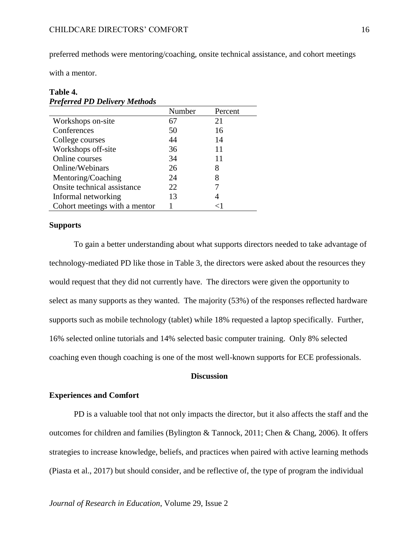preferred methods were mentoring/coaching, onsite technical assistance, and cohort meetings

with a mentor.

## **Table 4.**  *Preferred PD Delivery Methods*

|                               | Number | Percent |
|-------------------------------|--------|---------|
| Workshops on-site             | 67     | 21      |
| Conferences                   | 50     | 16      |
| College courses               | 44     | 14      |
| Workshops off-site            | 36     | 11      |
| Online courses                | 34     | 11      |
| Online/Webinars               | 26     | 8       |
| Mentoring/Coaching            | 24     | 8       |
| Onsite technical assistance   | 22     |         |
| Informal networking           | 13     |         |
| Cohort meetings with a mentor |        |         |

## **Supports**

To gain a better understanding about what supports directors needed to take advantage of technology-mediated PD like those in Table 3, the directors were asked about the resources they would request that they did not currently have. The directors were given the opportunity to select as many supports as they wanted. The majority (53%) of the responses reflected hardware supports such as mobile technology (tablet) while 18% requested a laptop specifically. Further, 16% selected online tutorials and 14% selected basic computer training. Only 8% selected coaching even though coaching is one of the most well-known supports for ECE professionals.

#### **Discussion**

# **Experiences and Comfort**

PD is a valuable tool that not only impacts the director, but it also affects the staff and the outcomes for children and families (Bylington & Tannock, 2011; Chen & Chang, 2006). It offers strategies to increase knowledge, beliefs, and practices when paired with active learning methods (Piasta et al., 2017) but should consider, and be reflective of, the type of program the individual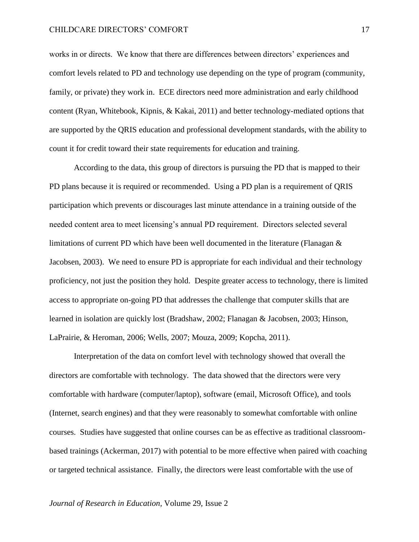#### CHILDCARE DIRECTORS' COMFORT

works in or directs. We know that there are differences between directors' experiences and comfort levels related to PD and technology use depending on the type of program (community, family, or private) they work in. ECE directors need more administration and early childhood content (Ryan, Whitebook, Kipnis, & Kakai, 2011) and better technology-mediated options that are supported by the QRIS education and professional development standards, with the ability to count it for credit toward their state requirements for education and training.

According to the data, this group of directors is pursuing the PD that is mapped to their PD plans because it is required or recommended. Using a PD plan is a requirement of QRIS participation which prevents or discourages last minute attendance in a training outside of the needed content area to meet licensing's annual PD requirement. Directors selected several limitations of current PD which have been well documented in the literature (Flanagan & Jacobsen, 2003). We need to ensure PD is appropriate for each individual and their technology proficiency, not just the position they hold. Despite greater access to technology, there is limited access to appropriate on-going PD that addresses the challenge that computer skills that are learned in isolation are quickly lost (Bradshaw, 2002; Flanagan & Jacobsen, 2003; Hinson, LaPrairie, & Heroman, 2006; Wells, 2007; Mouza, 2009; Kopcha, 2011).

Interpretation of the data on comfort level with technology showed that overall the directors are comfortable with technology. The data showed that the directors were very comfortable with hardware (computer/laptop), software (email, Microsoft Office), and tools (Internet, search engines) and that they were reasonably to somewhat comfortable with online courses. Studies have suggested that online courses can be as effective as traditional classroombased trainings (Ackerman, 2017) with potential to be more effective when paired with coaching or targeted technical assistance. Finally, the directors were least comfortable with the use of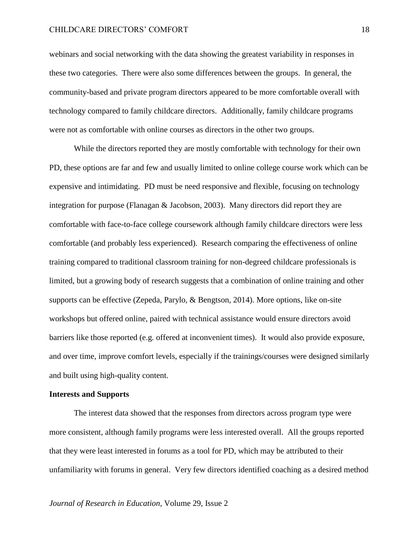#### CHILDCARE DIRECTORS' COMFORT

webinars and social networking with the data showing the greatest variability in responses in these two categories. There were also some differences between the groups. In general, the community-based and private program directors appeared to be more comfortable overall with technology compared to family childcare directors. Additionally, family childcare programs were not as comfortable with online courses as directors in the other two groups.

While the directors reported they are mostly comfortable with technology for their own PD, these options are far and few and usually limited to online college course work which can be expensive and intimidating. PD must be need responsive and flexible, focusing on technology integration for purpose (Flanagan & Jacobson, 2003). Many directors did report they are comfortable with face-to-face college coursework although family childcare directors were less comfortable (and probably less experienced). Research comparing the effectiveness of online training compared to traditional classroom training for non-degreed childcare professionals is limited, but a growing body of research suggests that a combination of online training and other supports can be effective (Zepeda, Parylo, & Bengtson, 2014). More options, like on-site workshops but offered online, paired with technical assistance would ensure directors avoid barriers like those reported (e.g. offered at inconvenient times). It would also provide exposure, and over time, improve comfort levels, especially if the trainings/courses were designed similarly and built using high-quality content.

#### **Interests and Supports**

The interest data showed that the responses from directors across program type were more consistent, although family programs were less interested overall. All the groups reported that they were least interested in forums as a tool for PD, which may be attributed to their unfamiliarity with forums in general. Very few directors identified coaching as a desired method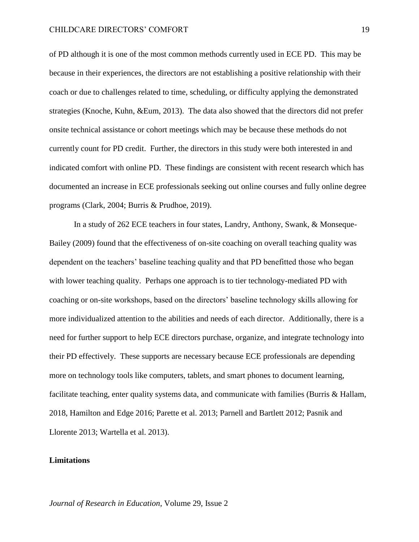of PD although it is one of the most common methods currently used in ECE PD. This may be because in their experiences, the directors are not establishing a positive relationship with their coach or due to challenges related to time, scheduling, or difficulty applying the demonstrated strategies (Knoche, Kuhn, &Eum, 2013). The data also showed that the directors did not prefer onsite technical assistance or cohort meetings which may be because these methods do not currently count for PD credit. Further, the directors in this study were both interested in and indicated comfort with online PD. These findings are consistent with recent research which has documented an increase in ECE professionals seeking out online courses and fully online degree programs (Clark, 2004; Burris & Prudhoe, 2019).

In a study of 262 ECE teachers in four states, Landry, Anthony, Swank, & Monseque-Bailey (2009) found that the effectiveness of on-site coaching on overall teaching quality was dependent on the teachers' baseline teaching quality and that PD benefitted those who began with lower teaching quality. Perhaps one approach is to tier technology-mediated PD with coaching or on-site workshops, based on the directors' baseline technology skills allowing for more individualized attention to the abilities and needs of each director. Additionally, there is a need for further support to help ECE directors purchase, organize, and integrate technology into their PD effectively. These supports are necessary because ECE professionals are depending more on technology tools like computers, tablets, and smart phones to document learning, facilitate teaching, enter quality systems data, and communicate with families (Burris & Hallam, 2018, Hamilton and Edge 2016; Parette et al. 2013; Parnell and Bartlett 2012; Pasnik and Llorente 2013; Wartella et al. 2013).

## **Limitations**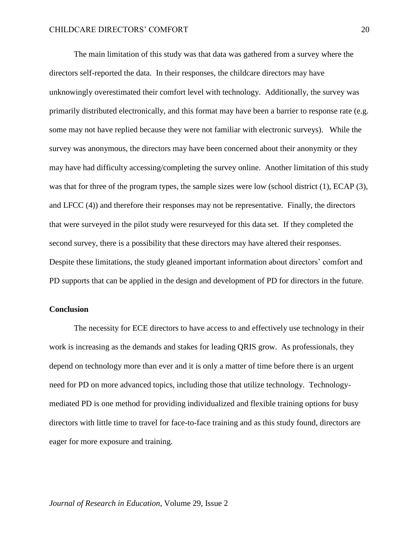The main limitation of this study was that data was gathered from a survey where the directors self-reported the data. In their responses, the childcare directors may have unknowingly overestimated their comfort level with technology. Additionally, the survey was primarily distributed electronically, and this format may have been a barrier to response rate (e.g. some may not have replied because they were not familiar with electronic surveys). While the survey was anonymous, the directors may have been concerned about their anonymity or they may have had difficulty accessing/completing the survey online. Another limitation of this study was that for three of the program types, the sample sizes were low (school district (1), ECAP (3), and LFCC (4)) and therefore their responses may not be representative. Finally, the directors that were surveyed in the pilot study were resurveyed for this data set. If they completed the second survey, there is a possibility that these directors may have altered their responses. Despite these limitations, the study gleaned important information about directors' comfort and PD supports that can be applied in the design and development of PD for directors in the future.

#### **Conclusion**

The necessity for ECE directors to have access to and effectively use technology in their work is increasing as the demands and stakes for leading QRIS grow. As professionals, they depend on technology more than ever and it is only a matter of time before there is an urgent need for PD on more advanced topics, including those that utilize technology. Technologymediated PD is one method for providing individualized and flexible training options for busy directors with little time to travel for face-to-face training and as this study found, directors are eager for more exposure and training.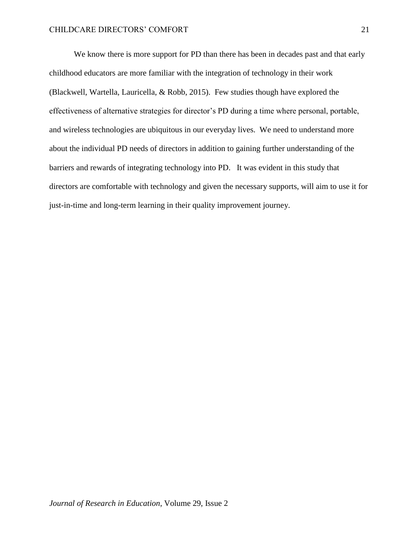We know there is more support for PD than there has been in decades past and that early childhood educators are more familiar with the integration of technology in their work (Blackwell, Wartella, Lauricella, & Robb, 2015). Few studies though have explored the effectiveness of alternative strategies for director's PD during a time where personal, portable, and wireless technologies are ubiquitous in our everyday lives. We need to understand more about the individual PD needs of directors in addition to gaining further understanding of the barriers and rewards of integrating technology into PD. It was evident in this study that directors are comfortable with technology and given the necessary supports, will aim to use it for just-in-time and long-term learning in their quality improvement journey.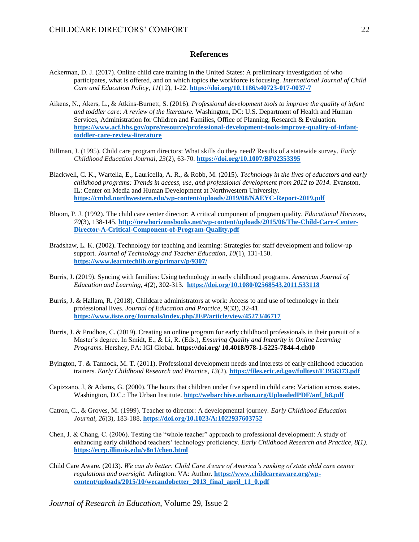#### **References**

- Ackerman, D. J. (2017). Online child care training in the United States: A preliminary investigation of who participates, what is offered, and on which topics the workforce is focusing. *International Journal of Child Care and Education Policy, 11*(12), 1-22. **<https://doi.org/10.1186/s40723-017-0037-7>**
- Aikens, N., Akers, L., & Atkins-Burnett, S. (2016). *Professional development tools to improve the quality of infant and toddler care: A review of the literature.* Washington, DC: U.S. Department of Health and Human Services, Administration for Children and Families, Office of Planning, Research & Evaluation. **[https://www.acf.hhs.gov/opre/resource/professional-development-tools-improve-quality-of-infant](https://www.acf.hhs.gov/opre/resource/professional-development-tools-improve-quality-of-infant-toddler-care-review-literature)[toddler-care-review-literature](https://www.acf.hhs.gov/opre/resource/professional-development-tools-improve-quality-of-infant-toddler-care-review-literature)**
- Billman, J. (1995). Child care program directors: What skills do they need? Results of a statewide survey. *Early Childhood Education Journal, 23*(2), 63-70. **<https://doi.org/10.1007/BF02353395>**
- Blackwell, C. K., Wartella, E., Lauricella, A. R., & Robb, M. (2015). *Technology in the lives of educators and early childhood programs: Trends in access, use, and professional development from 2012 to 2014.* Evanston, IL: Center on Media and Human Development at Northwestern University. **<https://cmhd.northwestern.edu/wp-content/uploads/2019/08/NAEYC-Report-2019.pdf>**
- Bloom, P. J. (1992). The child care center director: A critical component of program quality. *Educational Horizons, 70*(3), 138-145. **[http://newhorizonsbooks.net/wp-content/uploads/2015/06/The-Child-Care-Center-](http://newhorizonsbooks.net/wp-content/uploads/2015/06/The-Child-Care-Center-Director-A-Critical-Component-of-Program-Quality.pdf)[Director-A-Critical-Component-of-Program-Quality.pdf](http://newhorizonsbooks.net/wp-content/uploads/2015/06/The-Child-Care-Center-Director-A-Critical-Component-of-Program-Quality.pdf)**
- Bradshaw, L. K. (2002). Technology for teaching and learning: Strategies for staff development and follow-up support. *Journal of Technology and Teacher Education, 10*(1), 131-150. **<https://www.learntechlib.org/primary/p/9307/>**
- Burris, J. (2019). Syncing with families: Using technology in early childhood programs*. American Journal of Education and Learning, 4*(2), 302-313. **<https://doi.org/10.1080/02568543.2011.533118>**
- Burris, J. & Hallam, R. (2018). Childcare administrators at work: Access to and use of technology in their professional lives. *Journal of Education and Practice, 9*(33), 32-41. **<https://www.iiste.org/Journals/index.php/JEP/article/view/45273/46717>**
- Burris, J. & Prudhoe, C. (2019). Creating an online program for early childhood professionals in their pursuit of a Master's degree. In Smidt, E., & Li, R. (Eds.), *Ensuring Quality and Integrity in Online Learning Programs*. Hershey, PA: IGI Global. **https://doi.org/ 10.4018/978-1-5225-7844-4.ch00**
- Byington, T. & Tannock, M. T. (2011). Professional development needs and interests of early childhood education trainers. *Early Childhood Research and Practice, 13*(2). **<https://files.eric.ed.gov/fulltext/EJ956373.pdf>**
- Capizzano, J, & Adams, G. (2000). The hours that children under five spend in child care: Variation across states. Washington, D.C.: The Urban Institute. **[http://webarchive.urban.org/UploadedPDF/anf\\_b8.pdf](http://webarchive.urban.org/UploadedPDF/anf_b8.pdf)**
- Catron, C., & Groves, M. (1999). Teacher to director: A developmental journey. *Early Childhood Education Journal, 26*(3), 183-188. **<https://doi.org/10.1023/A:1022937603752>**
- Chen, J. & Chang, C. (2006). Testing the "whole teacher" approach to professional development: A study of enhancing early childhood teachers' technology proficiency. *Early Childhood Research and Practice, 8(1).*  **<https://ecrp.illinois.edu/v8n1/chen.html>**
- Child Care Aware. (2013). *We can do better: Child Care Aware of America's ranking of state child care center regulations and oversight.* Arlington: VA: Author. **[https://www.childcareaware.org/wp](https://www.childcareaware.org/wp-content/uploads/2015/10/wecandobetter_2013_final_april_11_0.pdf)[content/uploads/2015/10/wecandobetter\\_2013\\_final\\_april\\_11\\_0.pdf](https://www.childcareaware.org/wp-content/uploads/2015/10/wecandobetter_2013_final_april_11_0.pdf)**

*Journal of Research in Education*, Volume 29, Issue 2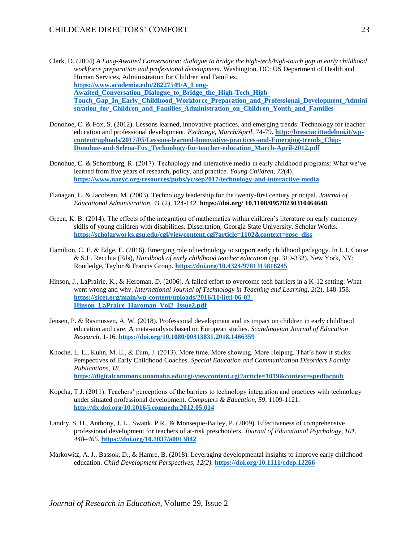Clark, D. (2004) *A Long-Awaited Conversation: dialogue to bridge the high-tech/high-touch gap in early childhood workforce preparation and professional development.* Washington, DC: US Department of Health and Human Services, Administration for Children and Families. **[https://www.academia.edu/28227549/A\\_Long-](https://www.academia.edu/28227549/A_Long-Awaited_Conversation_Dialogue_to_Bridge_the_High-Tech_High-Touch_Gap_In_Early_Childhood_Workforce_Preparation_and_Professional_Development_Administration_for_Children_and_Families_Administration_on_Children_Youth_and_Families)**Awaited Conversation Dialogue to Bridge the High-Tech High-**[Touch\\_Gap\\_In\\_Early\\_Childhood\\_Workforce\\_Preparation\\_and\\_Professional\\_Development\\_Admini](https://www.academia.edu/28227549/A_Long-Awaited_Conversation_Dialogue_to_Bridge_the_High-Tech_High-Touch_Gap_In_Early_Childhood_Workforce_Preparation_and_Professional_Development_Administration_for_Children_and_Families_Administration_on_Children_Youth_and_Families) [stration\\_for\\_Children\\_and\\_Families\\_Administration\\_on\\_Children\\_Youth\\_and\\_Families](https://www.academia.edu/28227549/A_Long-Awaited_Conversation_Dialogue_to_Bridge_the_High-Tech_High-Touch_Gap_In_Early_Childhood_Workforce_Preparation_and_Professional_Development_Administration_for_Children_and_Families_Administration_on_Children_Youth_and_Families)**

- Donohoe, C. & Fox, S. (2012). Lessons learned, innovative practices, and emerging trends: Technology for teacher education and professional development. *Exchange, March/April,* 74-79. **[http://bresciacittadelnoi.it/wp](http://bresciacittadelnoi.it/wp-content/uploads/2017/05/Lessons-learned-Innovative-practices-and-Emerging-trends_Chip-Donohue-and-Selena-Fox_Technology-for-teacher-education_March-April-2012.pdf)[content/uploads/2017/05/Lessons-learned-Innovative-practices-and-Emerging-trends\\_Chip-](http://bresciacittadelnoi.it/wp-content/uploads/2017/05/Lessons-learned-Innovative-practices-and-Emerging-trends_Chip-Donohue-and-Selena-Fox_Technology-for-teacher-education_March-April-2012.pdf)[Donohue-and-Selena-Fox\\_Technology-for-teacher-education\\_March-April-2012.pdf](http://bresciacittadelnoi.it/wp-content/uploads/2017/05/Lessons-learned-Innovative-practices-and-Emerging-trends_Chip-Donohue-and-Selena-Fox_Technology-for-teacher-education_March-April-2012.pdf)**
- Donohue, C. & Schomburg, R. (2017). Technology and interactive media in early childhood programs: What we've learned from five years of research, policy, and practice. *Young Children, 72*(4). **<https://www.naeyc.org/resources/pubs/yc/sep2017/technology-and-interactive-media>**
- Flanagan, L. & Jacobsen, M. (2003). Technology leadership for the twenty-first century principal. *Journal of Educational Administration, 41* (2), 124-142. **https://doi.org/ 10.1108/09578230310464648**
- Green, K. B. (2014). The effects of the integration of mathematics within children's literature on early numeracy skills of young children with disabilities. Dissertation, Georgia State University. Scholar Works. **[https://scholarworks.gsu.edu/cgi/viewcontent.cgi?article=1102&context=epse\\_diss](https://scholarworks.gsu.edu/cgi/viewcontent.cgi?article=1102&context=epse_diss)**
- Hamilton, C. E. & Edge, E. (2016). Emerging role of technology to support early childhood pedagogy. In L.J. Couse & S.L. Recchia (Eds), *Handbook of early childhood teacher education* (pp. 319-332). New York, NY: Routledge, Taylor & Francis Group. **<https://doi.org/10.4324/9781315818245>**
- Hinson, J., LaPrairie, K., & Heroman, D. (2006). A failed effort to overcome tech barriers in a K-12 setting: What went wrong and why. *International Journal of Technology in Teaching and Learning, 2*(2), 148-158. **[https://sicet.org/main/wp-content/uploads/2016/11/ijttl-06-02-](https://sicet.org/main/wp-content/uploads/2016/11/ijttl-06-02-Hinson_LaPraire_Haroman_Vol2_Issue2.pdf) [Hinson\\_LaPraire\\_Haroman\\_Vol2\\_Issue2.pdf](https://sicet.org/main/wp-content/uploads/2016/11/ijttl-06-02-Hinson_LaPraire_Haroman_Vol2_Issue2.pdf)**
- Jensen, P. & Rasmussen, A. W. (2018). Professional development and its impact on children in early childhood education and care: A meta-analysis based on European studies. *Scandinavian Journal of Education Research*, 1-16. **<https://doi.org/10.1080/00313831.2018.1466359>**
- Knoche, L. L., Kuhn, M. E., & Eum, J. (2013). More time. More showing. More Helping. That's how it sticks: Perspectives of Early Childhood Coaches. *Special Education and Communication Disorders Faculty Publications, 18.* **<https://digitalcommons.unomaha.edu/cgi/viewcontent.cgi?article=1019&context=spedfacpub>**
- Kopcha, T.J. (2011). Teachers' perceptions of the barriers to technology integration and practices with technology under situated professional development. *Computers & Education, 59*, 1109-1121. **<http://dx.doi.org/10.1016/j.compedu.2012.05.014>**
- Landry, S. H., Anthony, J. L., Swank, P.R., & Monseque-Bailey, P. (2009). Effectiveness of comprehensive professional development for teachers of at-risk preschoolers. *Journal of Educational Psychology, 101, 448–465.* **<https://doi.org/10.1037/a0013842>**
- Markowitz, A. J., Bassok, D., & Hamre, B. (2018). Leveraging developmental insights to improve early childhood education. *Child Development Perspectives, 12(2).* **<https://doi.org/10.1111/cdep.12266>**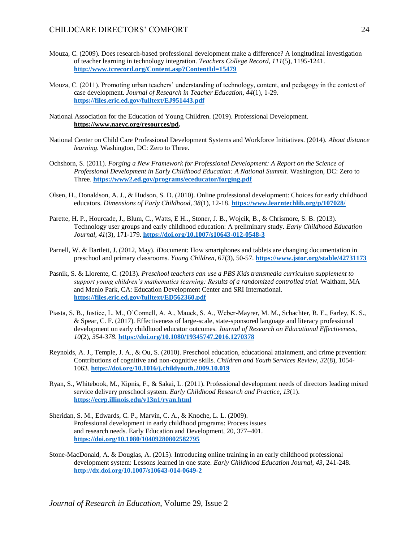- Mouza, C. (2009). Does research-based professional development make a difference? A longitudinal investigation of teacher learning in technology integration. *Teachers College Record, 111*(5), 1195-1241. **<http://www.tcrecord.org/Content.asp?ContentId=15479>**
- Mouza, C. (2011). Promoting urban teachers' understanding of technology, content, and pedagogy in the context of case development. *Journal of Research in Teacher Education, 44*(1), 1-29. **<https://files.eric.ed.gov/fulltext/EJ951443.pdf>**
- National Association for the Education of Young Children. (2019). Professional Development. **[https://www.naeyc.org/resources/pd.](https://www.naeyc.org/resources/pd)**
- National Center on Child Care Professional Development Systems and Workforce Initiatives. (2014). *About distance learning.* Washington, DC: Zero to Three.
- Ochshorn, S. (2011). *Forging a New Framework for Professional Development: A Report on the Science of Professional Development in Early Childhood Education: A National Summit.* Washington, DC: Zero to Three. **<https://www2.ed.gov/programs/eceducator/forging.pdf>**
- Olsen, H., Donaldson, A. J., & Hudson, S. D. (2010). Online professional development: Choices for early childhood educators. *Dimensions of Early Childhood, 38*(1), 12-18. **<https://www.learntechlib.org/p/107028/>**
- Parette, H. P., Hourcade, J., Blum, C., Watts, E H.,, Stoner, J. B., Wojcik, B., & Chrismore, S. B. (2013). Technology user groups and early childhood education: A preliminary study. *Early Childhood Education Journal, 41*(3), 171-179. **<https://doi.org/10.1007/s10643-012-0548-3>**
- Parnell, W. & Bartlett, J. (2012, May). iDocument: How smartphones and tablets are changing documentation in preschool and primary classrooms. *Young Children*, 67(3), 50-57. **<https://www.jstor.org/stable/42731173>**
- Pasnik, S. & Llorente, C. (2013). *Preschool teachers can use a PBS Kids transmedia curriculum supplement to support young children's mathematics learning: Results of a randomized controlled trial.* Waltham, MA and Menlo Park, CA: Education Development Center and SRI International. **<https://files.eric.ed.gov/fulltext/ED562360.pdf>**
- Piasta, S. B., Justice, L. M., O'Connell, A. A., Mauck, S. A., Weber-Mayrer, M. M., Schachter, R. E., Farley, K. S., & Spear, C. F. (2017). Effectiveness of large-scale, state-sponsored language and literacy professional development on early childhood educator outcomes*. Journal of Research on Educational Effectiveness, 10*(2), *354-378*. **<https://doi.org/10.1080/19345747.2016.1270378>**
- Reynolds, A. J., Temple, J. A., & Ou, S. (2010). Preschool education, educational attainment, and crime prevention: Contributions of cognitive and non-cognitive skills. *Children and Youth Services Review, 32*(8), 1054- 1063. **<https://doi.org/10.1016/j.childyouth.2009.10.019>**
- Ryan, S., Whitebook, M., Kipnis, F., & Sakai, L. (2011). Professional development needs of directors leading mixed service delivery preschool system*. Early Childhood Research and Practice, 13*(1). **<https://ecrp.illinois.edu/v13n1/ryan.html>**
- Sheridan, S. M., Edwards, C. P., Marvin, C. A., & Knoche, L. L. (2009). Professional development in early childhood programs: Process issues and research needs. Early Education and Development, 20, 377–401. **<https://doi.org/10.1080/10409280802582795>**
- Stone-MacDonald, A. & Douglas, A. (2015). Introducing online training in an early childhood professional development system: Lessons learned in one state. *Early Childhood Education Journal, 43*, 241-248. **<http://dx.doi.org/10.1007/s10643-014-0649-2>**